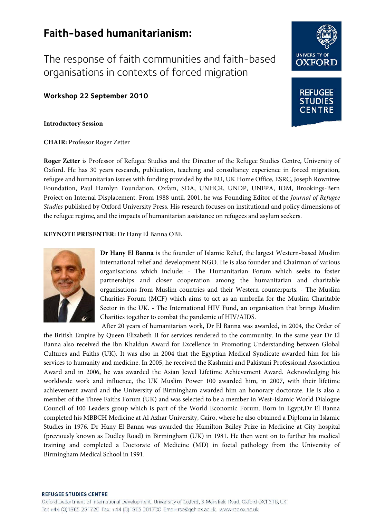# **Faith-based humanitarianism:**

The response of faith communities and faith-based organisations in contexts of forced migration

**Workshop 22 September 2010**

**Introductory Session**

**CHAIR:** Professor Roger Zetter

**Roger Zetter** is Professor of Refugee Studies and the Director of the Refugee Studies Centre, University of Oxford. He has 30 years research, publication, teaching and consultancy experience in forced migration, refugee and humanitarian issues with funding provided by the EU, UK Home Office, ESRC, Joseph Rowntree Foundation, Paul Hamlyn Foundation, Oxfam, SDA, UNHCR, UNDP, UNFPA, IOM, Brookings-Bern Project on Internal Displacement. From 1988 until, 2001, he was Founding Editor of the *Journal of Refugee Studies* published by Oxford University Press. His research focuses on institutional and policy dimensions of the refugee regime, and the impacts of humanitarian assistance on refugees and asylum seekers.

**KEYNOTE PRESENTER:** Dr Hany El Banna OBE



**Dr Hany El Banna** is the founder of Islamic Relief, the largest Western-based Muslim international relief and development NGO. He is also founder and Chairman of various organisations which include: - The Humanitarian Forum which seeks to foster partnerships and closer cooperation among the humanitarian and charitable organisations from Muslim countries and their Western counterparts. - The Muslim Charities Forum (MCF) which aims to act as an umbrella for the Muslim Charitable Sector in the UK. - The International HIV Fund, an organisation that brings Muslim Charities together to combat the pandemic of HIV/AIDS.

After 20 years of humanitarian work, Dr El Banna was awarded, in 2004, the Order of the British Empire by Queen Elizabeth II for services rendered to the community. In the same year Dr El Banna also received the Ibn Khaldun Award for Excellence in Promoting Understanding between Global Cultures and Faiths (UK). It was also in 2004 that the Egyptian Medical Syndicate awarded him for his services to humanity and medicine. In 2005, he received the Kashmiri and Pakistani Professional Association Award and in 2006, he was awarded the Asian Jewel Lifetime Achievement Award. Acknowledging his worldwide work and influence, the UK Muslim Power 100 awarded him, in 2007, with their lifetime achievement award and the University of Birmingham awarded him an honorary doctorate. He is also a member of the Three Faiths Forum (UK) and was selected to be a member in West-Islamic World Dialogue Council of 100 Leaders group which is part of the World Economic Forum. Born in Egypt,Dr El Banna completed his MBBCH Medicine at Al Azhar University, Cairo, where he also obtained a Diploma in Islamic Studies in 1976. Dr Hany El Banna was awarded the Hamilton Bailey Prize in Medicine at City hospital (previously known as Dudley Road) in Birmingham (UK) in 1981. He then went on to further his medical training and completed a Doctorate of Medicine (MD) in foetal pathology from the University of Birmingham Medical School in 1991.



**REFUGEE** 



#### **REFUGEE STUDIES CENTRE**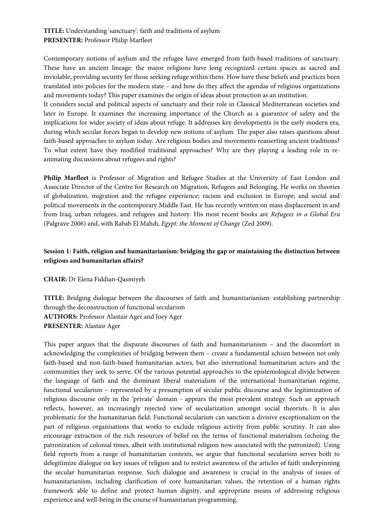### **TITLE:** Understanding 'sanctuary': faith and traditions of asylum **PRESENTER:** Professor Philip Marfleet

Contemporary notions of asylum and the refugee have emerged from faith-based traditions of sanctuary. These have an ancient lineage: the major religions have long recognized certain spaces as sacred and inviolable, providing security for those seeking refuge within them. How have these beliefs and practices been translated into policies for the modern state – and how do they affect the agendas of religious organizations and movements today? This paper examines the origin of ideas about protection as an institution.

It considers social and political aspects of sanctuary and their role in Classical Mediterranean societies and later in Europe. It examines the increasing importance of the Church as a guarantor of safety and the implications for wider society of ideas about refuge. It addresses key developments in the early modern era, during which secular forces began to develop new notions of asylum. The paper also raises questions about faith-based approaches to asylum today. Are religious bodies and movements reasserting ancient traditions? To what extent have they modified traditional approaches? Why are they playing a leading role in reanimating discussions about refugees and rights?

**Philip Marfleet** is Professor of Migration and Refugee Studies at the University of East London and Associate Director of the Centre for Research on Migration, Refugees and Belonging. He works on theories of globalization, migration and the refugee experience; racism and exclusion in Europe; and social and political movements in the contemporary Middle East. He has recently written on mass displacement in and from Iraq, urban refugees, and refugees and history. His most recent books are *Refugees in a Global Era* (Palgrave 2006) and, with Rabab El Mahdi, *Egypt: the Moment of Change* (Zed 2009).

### **Session 1: Faith, religion and humanitarianism: bridging the gap or maintaining the distinction between religious and humanitarian affairs?**

**CHAIR:** Dr Elena Fiddian-Qasmiyeh

**TITLE:** Bridging dialogue between the discourses of faith and humanitarianism: establishing partnership through the deconstruction of functional secularism **AUTHORS:** Professor Alastair Ager and Joey Ager **PRESENTER:** Alastair Ager

This paper argues that the disparate discourses of faith and humanitarianism – and the discomfort in acknowledging the complexities of bridging between them – create a fundamental schism between not only faith-based and non-faith-based humanitarian actors, but also international humanitarian actors and the communities they seek to serve. Of the various potential approaches to the epistemological divide between the language of faith and the dominant liberal materialism of the international humanitarian regime, functional secularism – represented by a presumption of secular public discourse and the legitimization of religious discourse only in the 'private' domain - appears the most prevalent strategy. Such an approach reflects, however, an increasingly rejected view of secularization amongst social theorists. It is also problematic for the humanitarian field. Functional secularism can sanction a divisive exceptionalism on the part of religious organisations that works to exclude religious activity from public scrutiny. It can also encourage extraction of the rich resources of belief on the terms of functional materialism (echoing the patronization of colonial times, albeit with institutional religion now associated with the patronized). Using field reports from a range of humanitarian contexts, we argue that functional secularism serves both to delegitimize dialogue on key issues of religion and to restrict awareness of the articles of faith underpinning the secular humanitarian response. Such dialogue and awareness is crucial in the analysis of issues of humanitarianism, including clarification of core humanitarian values, the retention of a human rights framework able to define and protect human dignity, and appropriate means of addressing religious experience and well-being in the course of humanitarian programming.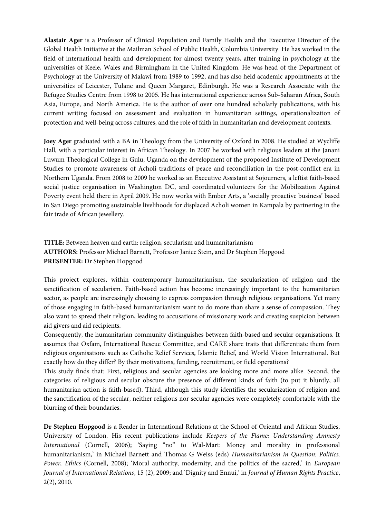**Alastair Ager** is a Professor of Clinical Population and Family Health and the Executive Director of the Global Health Initiative at the Mailman School of Public Health, Columbia University. He has worked in the field of international health and development for almost twenty years, after training in psychology at the universities of Keele, Wales and Birmingham in the United Kingdom. He was head of the Department of Psychology at the University of Malawi from 1989 to 1992, and has also held academic appointments at the universities of Leicester, Tulane and Queen Margaret, Edinburgh. He was a Research Associate with the Refugee Studies Centre from 1998 to 2005. He has international experience across Sub-Saharan Africa, South Asia, Europe, and North America. He is the author of over one hundred scholarly publications, with his current writing focused on assessment and evaluation in humanitarian settings, operationalization of protection and well-being across cultures, and the role of faith in humanitarian and development contexts.

**Joey Ager** graduated with a BA in Theology from the University of Oxford in 2008. He studied at Wycliffe Hall, with a particular interest in African Theology. In 2007 he worked with religious leaders at the Janani Luwum Theological College in Gulu, Uganda on the development of the proposed Institute of Development Studies to promote awareness of Acholi traditions of peace and reconciliation in the post-conflict era in Northern Uganda. From 2008 to 2009 he worked as an Executive Assistant at Sojourners, a leftist faith-based social justice organisation in Washington DC, and coordinated volunteers for the Mobilization Against Poverty event held there in April 2009. He now works with Ember Arts, a 'socially proactive business' based in San Diego promoting sustainable livelihoods for displaced Acholi women in Kampala by partnering in the fair trade of African jewellery.

**TITLE:** Between heaven and earth: religion, secularism and humanitarianism **AUTHORS:** Professor Michael Barnett, Professor Janice Stein, and Dr Stephen Hopgood **PRESENTER:** Dr Stephen Hopgood

This project explores, within contemporary humanitarianism, the secularization of religion and the sanctification of secularism. Faith-based action has become increasingly important to the humanitarian sector, as people are increasingly choosing to express compassion through religious organisations. Yet many of those engaging in faith-based humanitarianism want to do more than share a sense of compassion. They also want to spread their religion, leading to accusations of missionary work and creating suspicion between aid givers and aid recipients.

Consequently, the humanitarian community distinguishes between faith-based and secular organisations. It assumes that Oxfam, International Rescue Committee, and CARE share traits that differentiate them from religious organisations such as Catholic Relief Services, Islamic Relief, and World Vision International. But exactly how do they differ? By their motivations, funding, recruitment, or field operations?

This study finds that: First, religious and secular agencies are looking more and more alike. Second, the categories of religious and secular obscure the presence of different kinds of faith (to put it bluntly, all humanitarian action is faith-based). Third, although this study identifies the secularization of religion and the sanctification of the secular, neither religious nor secular agencies were completely comfortable with the blurring of their boundaries.

**Dr Stephen Hopgood** is a Reader in International Relations at the School of Oriental and African Studies, University of London. His recent publications include *Keepers of the Flame: Understanding Amnesty International* (Cornell, 2006); 'Saying "no" to Wal-Mart: Money and morality in professional humanitarianism,' in Michael Barnett and Thomas G Weiss (eds) *Humanitarianism in Question: Politics, Power, Ethics* (Cornell, 2008); 'Moral authority, modernity, and the politics of the sacred,' in *European Journal of International Relations*, 15 (2), 2009; and 'Dignity and Ennui,' in *Journal of Human Rights Practice*, 2(2), 2010.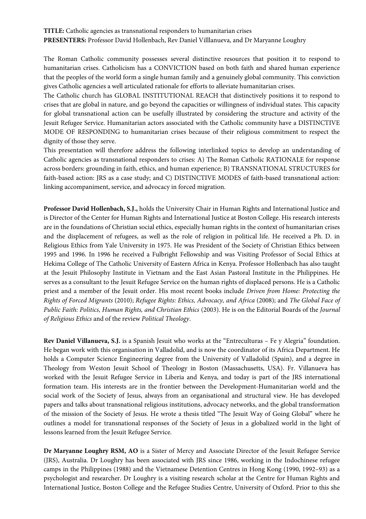### **TITLE:** Catholic agencies as transnational responders to humanitarian crises **PRESENTERS:** Professor David Hollenbach, Rev Daniel Villlanueva, and Dr Maryanne Loughry

The Roman Catholic community possesses several distinctive resources that position it to respond to humanitarian crises. Catholicism has a CONVICTION based on both faith and shared human experience that the peoples of the world form a single human family and a genuinely global community. This conviction gives Catholic agencies a well articulated rationale for efforts to alleviate humanitarian crises.

The Catholic church has GLOBAL INSTITUTIONAL REACH that distinctively positions it to respond to crises that are global in nature, and go beyond the capacities or willingness of individual states. This capacity for global transnational action can be usefully illustrated by considering the structure and activity of the Jesuit Refugee Service. Humanitarian actors associated with the Catholic community have a DISTINCTIVE MODE OF RESPONDING to humanitarian crises because of their religious commitment to respect the dignity of those they serve.

This presentation will therefore address the following interlinked topics to develop an understanding of Catholic agencies as transnational responders to crises: A) The Roman Catholic RATIONALE for response across borders: grounding in faith, ethics, and human experience; B) TRANSNATIONAL STRUCTURES for faith-based action: JRS as a case study; and C) DISTINCTIVE MODES of faith-based transnational action: linking accompaniment, service, and advocacy in forced migration.

**Professor David Hollenbach, S.J.,** holds the University Chair in Human Rights and International Justice and is Director of the Center for Human Rights and International Justice at Boston College. His research interests are in the foundations of Christian social ethics, especially human rights in the context of humanitarian crises and the displacement of refugees, as well as the role of religion in political life. He received a Ph. D. in Religious Ethics from Yale University in 1975. He was President of the Society of Christian Ethics between 1995 and 1996. In 1996 he received a Fulbright Fellowship and was Visiting Professor of Social Ethics at Hekima College of The Catholic University of Eastern Africa in Kenya. Professor Hollenbach has also taught at the Jesuit Philosophy Institute in Vietnam and the East Asian Pastoral Institute in the Philippines. He serves as a consultant to the Jesuit Refugee Service on the human rights of displaced persons. He is a Catholic priest and a member of the Jesuit order. His most recent books include *Driven from Home: Protecting the Rights of Forced Migrants* (2010); *Refugee Rights: Ethics, Advocacy, and Africa* (2008); and *The Global Face of Public Faith: Politics, Human Rights, and Christian Ethics* (2003). He is on the Editorial Boards of the *Journal of Religious Ethics* and of the review *Political Theology*.

**Rev Daniel Villanueva, S.J.** is a Spanish Jesuit who works at the "Entreculturas – Fe y Alegria" foundation. He began work with this organisation in Valladolid, and is now the coordinator of its Africa Department. He holds a Computer Science Engineering degree from the University of Valladolid (Spain), and a degree in Theology from Weston Jesuit School of Theology in Boston (Massachusetts, USA). Fr. Villanueva has worked with the Jesuit Refugee Service in Liberia and Kenya, and today is part of the JRS international formation team. His interests are in the frontier between the Development-Humanitarian world and the social work of the Society of Jesus, always from an organisational and structural view. He has developed papers and talks about transnational religious institutions, advocacy networks, and the global transformation of the mission of the Society of Jesus. He wrote a thesis titled "The Jesuit Way of Going Global" where he outlines a model for transnational responses of the Society of Jesus in a globalized world in the light of lessons learned from the Jesuit Refugee Service.

**Dr Maryanne Loughry RSM, AO** is a Sister of Mercy and Associate Director of the Jesuit Refugee Service (JRS), Australia. Dr Loughry has been associated with JRS since 1986, working in the Indochinese refugee camps in the Philippines (1988) and the Vietnamese Detention Centres in Hong Kong (1990, 1992–93) as a psychologist and researcher. Dr Loughry is a visiting research scholar at the Centre for Human Rights and International Justice, Boston College and the Refugee Studies Centre, University of Oxford. Prior to this she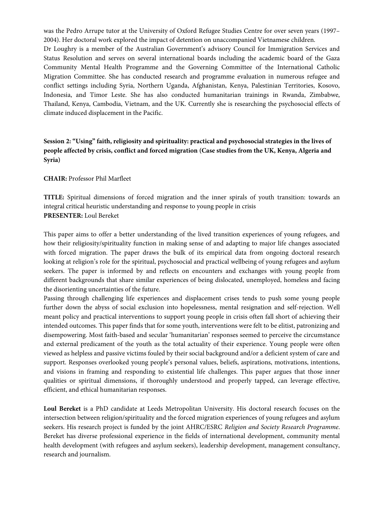was the Pedro Arrupe tutor at the University of Oxford Refugee Studies Centre for over seven years (1997– 2004). Her doctoral work explored the impact of detention on unaccompanied Vietnamese children. Dr Loughry is a member of the Australian Government's advisory Council for Immigration Services and Status Resolution and serves on several international boards including the academic board of the Gaza Community Mental Health Programme and the Governing Committee of the International Catholic Migration Committee. She has conducted research and programme evaluation in numerous refugee and conflict settings including Syria, Northern Uganda, Afghanistan, Kenya, Palestinian Territories, Kosovo, Indonesia, and Timor Leste. She has also conducted humanitarian trainings in Rwanda, Zimbabwe, Thailand, Kenya, Cambodia, Vietnam, and the UK. Currently she is researching the psychosocial effects of climate induced displacement in the Pacific.

## **Session 2: "Using" faith, religiosity and spirituality: practical and psychosocial strategies in the lives of people affected by crisis, conflict and forced migration (Case studies from the UK, Kenya, Algeria and Syria)**

#### **CHAIR:** Professor Phil Marfleet

**TITLE:** Spiritual dimensions of forced migration and the inner spirals of youth transition: towards an integral critical heuristic understanding and response to young people in crisis **PRESENTER:** Loul Bereket

This paper aims to offer a better understanding of the lived transition experiences of young refugees, and how their religiosity/spirituality function in making sense of and adapting to major life changes associated with forced migration. The paper draws the bulk of its empirical data from ongoing doctoral research looking at religion's role for the spiritual, psychosocial and practical wellbeing of young refugees and asylum seekers. The paper is informed by and reflects on encounters and exchanges with young people from different backgrounds that share similar experiences of being dislocated, unemployed, homeless and facing the disorienting uncertainties of the future.

Passing through challenging life experiences and displacement crises tends to push some young people further down the abyss of social exclusion into hopelessness, mental resignation and self-rejection. Well meant policy and practical interventions to support young people in crisis often fall short of achieving their intended outcomes. This paper finds that for some youth, interventions were felt to be elitist, patronizing and disempowering. Most faith-based and secular 'humanitarian' responses seemed to perceive the circumstance and external predicament of the youth as the total actuality of their experience. Young people were often viewed as helpless and passive victims fouled by their social background and/or a deficient system of care and support. Responses overlooked young people's personal values, beliefs, aspirations, motivations, intentions, and visions in framing and responding to existential life challenges. This paper argues that those inner qualities or spiritual dimensions, if thoroughly understood and properly tapped, can leverage effective, efficient, and ethical humanitarian responses.

**Loul Bereket** is a PhD candidate at Leeds Metropolitan University. His doctoral research focuses on the intersection between religion/spirituality and the forced migration experiences of young refugees and asylum seekers. His research project is funded by the joint AHRC/ESRC *Religion and Society Research Programme*. Bereket has diverse professional experience in the fields of international development, community mental health development (with refugees and asylum seekers), leadership development, management consultancy, research and journalism.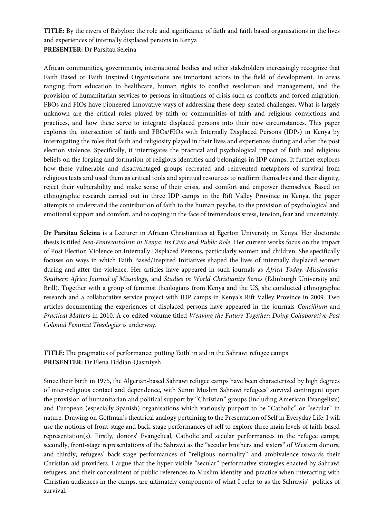**TITLE:** By the rivers of Babylon: the role and significance of faith and faith based organisations in the lives and experiences of internally displaced persons in Kenya **PRESENTER:** Dr Parsitau Seleina

African communities, governments, international bodies and other stakeholders increasingly recognize that Faith Based or Faith Inspired Organisations are important actors in the field of development. In areas ranging from education to healthcare, human rights to conflict resolution and management, and the provision of humanitarian services to persons in situations of crisis such as conflicts and forced migration, FBOs and FIOs have pioneered innovative ways of addressing these deep-seated challenges. What is largely unknown are the critical roles played by faith or communities of faith and religious convictions and practices, and how these serve to integrate displaced persons into their new circumstances. This paper explores the intersection of faith and FBOs/FIOs with Internally Displaced Persons (IDPs) in Kenya by interrogating the roles that faith and religiosity played in their lives and experiences during and after the post election violence. Specifically, it interrogates the practical and psychological impact of faith and religious beliefs on the forging and formation of religious identities and belongings in IDP camps. It further explores how these vulnerable and disadvantaged groups recreated and reinvented metaphors of survival from religious texts and used them as critical tools and spiritual resources to reaffirm themselves and their dignity, reject their vulnerability and make sense of their crisis, and comfort and empower themselves. Based on ethnographic research carried out in three IDP camps in the Rift Valley Province in Kenya, the paper attempts to understand the contribution of faith to the human psyche, to the provision of psychological and emotional support and comfort, and to coping in the face of tremendous stress, tension, fear and uncertainty.

**Dr Parsitau Seleina** is a Lecturer in African Christianities at Egerton University in Kenya. Her doctorate thesis is titled *Neo-Pentecostalism in Kenya: Its Civic and Public Role.* Her current works focus on the impact of Post Election Violence on Internally Displaced Persons, particularly women and children. She specifically focuses on ways in which Faith Based/Inspired Initiatives shaped the lives of internally displaced women during and after the violence. Her articles have appeared in such journals as *Africa Today, Missionalia*-*Southern Africa Journal of Missiology,* and *Studies in World Christianity Series* (Edinburgh University and Brill)*.* Together with a group of feminist theologians from Kenya and the US, she conducted ethnographic research and a collaborative service project with IDP camps in Kenya's Rift Valley Province in 2009. Two articles documenting the experiences of displaced persons have appeared in the journals *Concillium* and *Practical Matters* in 2010. A co-edited volume titled *Weaving the Future Together: Doing Collaborative Post Colonial Feminist Theologies* is underway*.*

**TITLE:** The pragmatics of performance: putting 'faith' in aid in the Sahrawi refugee camps **PRESENTER:** Dr Elena Fiddian-Qasmiyeh

Since their birth in 1975, the Algerian-based Sahrawi refugee camps have been characterized by high degrees of inter-religious contact and dependence, with Sunni Muslim Sahrawi refugees' survival contingent upon the provision of humanitarian and political support by "Christian" groups (including American Evangelists) and European (especially Spanish) organisations which variously purport to be "Catholic" or "secular" in nature. Drawing on Goffman's theatrical analogy pertaining to the Presentation of Self in Everyday Life, I will use the notions of front-stage and back-stage performances of self to explore three main levels of faith-based representation(s). Firstly, donors' Evangelical, Catholic and secular performances in the refugee camps; secondly, front-stage representations of the Sahrawi as the "secular brothers and sisters" of Western donors; and thirdly, refugees' back-stage performances of "religious normality" and ambivalence towards their Christian aid providers. I argue that the hyper-visible "secular" performative strategies enacted by Sahrawi refugees, and their concealment of public references to Muslim identity and practice when interacting with Christian audiences in the camps, are ultimately components of what I refer to as the Sahrawis' "politics of survival."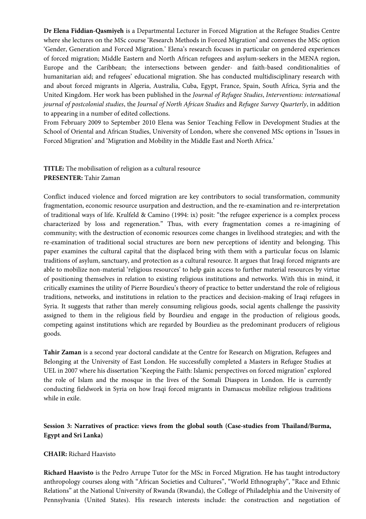**Dr Elena Fiddian-Qasmiyeh** is a Departmental Lecturer in Forced Migration at the Refugee Studies Centre where she lectures on the MSc course 'Research Methods in Forced Migration' and convenes the MSc option 'Gender, Generation and Forced Migration.' Elena's research focuses in particular on gendered experiences of forced migration; Middle Eastern and North African refugees and asylum-seekers in the MENA region, Europe and the Caribbean; the intersections between gender- and faith-based conditionalities of humanitarian aid; and refugees' educational migration. She has conducted multidisciplinary research with and about forced migrants in Algeria, Australia, Cuba, Egypt, France, Spain, South Africa, Syria and the United Kingdom. Her work has been published in the *Journal of Refugee Studies*, *Interventions: international journal of postcolonial studies*, the *Journal of North African Studies* and *Refugee Survey Quarterly*, in addition to appearing in a number of edited collections.

From February 2009 to September 2010 Elena was Senior Teaching Fellow in Development Studies at the School of Oriental and African Studies, University of London, where she convened MSc options in 'Issues in Forced Migration' and 'Migration and Mobility in the Middle East and North Africa.'

## **TITLE:** The mobilisation of religion as a cultural resource **PRESENTER:** Tahir Zaman

Conflict induced violence and forced migration are key contributors to social transformation, community fragmentation, economic resource usurpation and destruction, and the re-examination and re-interpretation of traditional ways of life. Krulfeld & Camino (1994: ix) posit: "the refugee experience is a complex process characterized by loss and regeneration." Thus, with every fragmentation comes a re-imagining of community; with the destruction of economic resources come changes in livelihood strategies; and with the re-examination of traditional social structures are born new perceptions of identity and belonging. This paper examines the cultural capital that the displaced bring with them with a particular focus on Islamic traditions of asylum, sanctuary, and protection as a cultural resource. It argues that Iraqi forced migrants are able to mobilize non-material 'religious resources' to help gain access to further material resources by virtue of positioning themselves in relation to existing religious institutions and networks. With this in mind, it critically examines the utility of Pierre Bourdieu's theory of practice to better understand the role of religious traditions, networks, and institutions in relation to the practices and decision-making of Iraqi refugees in Syria. It suggests that rather than merely consuming religious goods, social agents challenge the passivity assigned to them in the religious field by Bourdieu and engage in the production of religious goods, competing against institutions which are regarded by Bourdieu as the predominant producers of religious goods.

**Tahir Zaman** is a second year doctoral candidate at the Centre for Research on Migration, Refugees and Belonging at the University of East London. He successfully completed a Masters in Refugee Studies at UEL in 2007 where his dissertation "Keeping the Faith: Islamic perspectives on forced migration" explored the role of Islam and the mosque in the lives of the Somali Diaspora in London. He is currently conducting fieldwork in Syria on how Iraqi forced migrants in Damascus mobilize religious traditions while in exile.

### **Session 3: Narratives of practice: views from the global south (Case-studies from Thailand/Burma, Egypt and Sri Lanka)**

### **CHAIR:** Richard Haavisto

**Richard Haavisto** is the Pedro Arrupe Tutor for the MSc in Forced Migration. H**e** has taught introductory anthropology courses along with "African Societies and Cultures", "World Ethnography", "Race and Ethnic Relations" at the National University of Rwanda (Rwanda), the College of Philadelphia and the University of Pennsylvania (United States). His research interests include: the construction and negotiation of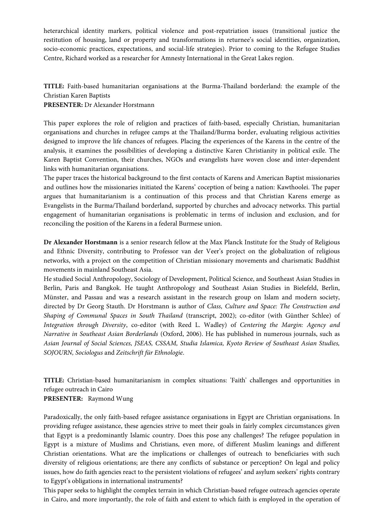heterarchical identity markers, political violence and post-repatriation issues (transitional justice the restitution of housing, land or property and transformations in returnee's social identities, organization, socio-economic practices, expectations, and social-life strategies). Prior to coming to the Refugee Studies Centre, Richard worked as a researcher for Amnesty International in the Great Lakes region.

# **TITLE:** Faith-based humanitarian organisations at the Burma-Thailand borderland: the example of the Christian Karen Baptists

### **PRESENTER:** Dr Alexander Horstmann

This paper explores the role of religion and practices of faith-based, especially Christian, humanitarian organisations and churches in refugee camps at the Thailand/Burma border, evaluating religious activities designed to improve the life chances of refugees. Placing the experiences of the Karens in the centre of the analysis, it examines the possibilities of developing a distinctive Karen Christianity in political exile. The Karen Baptist Convention, their churches, NGOs and evangelists have woven close and inter-dependent links with humanitarian organisations.

The paper traces the historical background to the first contacts of Karens and American Baptist missionaries and outlines how the missionaries initiated the Karens' coception of being a nation: Kawthoolei. The paper argues that humanitarianism is a continuation of this process and that Christian Karens emerge as Evangelists in the Burma/Thailand borderland, supported by churches and advocacy networks. This partial engagement of humanitarian organisations is problematic in terms of inclusion and exclusion, and for reconciling the position of the Karens in a federal Burmese union.

**Dr Alexander Horstmann** is a senior research fellow at the Max Planck Institute for the Study of Religious and Ethnic Diversity, contributing to Professor van der Veer's project on the globalization of religious networks, with a project on the competition of Christian missionary movements and charismatic Buddhist movements in mainland Southeast Asia.

He studied Social Anthropology, Sociology of Development, Political Science, and Southeast Asian Studies in Berlin, Paris and Bangkok. He taught Anthropology and Southeast Asian Studies in Bielefeld, Berlin, Münster, and Passau and was a research assistant in the research group on Islam and modern society, directed by Dr Georg Stauth. Dr Horstmann is author of *Class, Culture and Space: The Construction and Shaping of Communal Spaces in South Thailand* (transcript, 2002); co-editor (with Günther Schlee) of *Integration through Diversity*, co-editor (with Reed L. Wadley) of *Centering the Margin: Agency and Narrative in Southeast Asian Borderlands* (Oxford, 2006). He has published in numerous journals, such as *Asian Journal of Social Sciences, JSEAS, CSSAM, Studia Islamica, Kyoto Review of Southeast Asian Studies, SOJOURN, Sociologus* and *Zeitschrift für Ethnologie*.

**TITLE:** Christian-based humanitarianism in complex situations: 'Faith' challenges and opportunities in refugee outreach in Cairo **PRESENTER:** Raymond Wung

Paradoxically, the only faith-based refugee assistance organisations in Egypt are Christian organisations. In providing refugee assistance, these agencies strive to meet their goals in fairly complex circumstances given that Egypt is a predominantly Islamic country. Does this pose any challenges? The refugee population in Egypt is a mixture of Muslims and Christians, even more, of different Muslim leanings and different Christian orientations. What are the implications or challenges of outreach to beneficiaries with such diversity of religious orientations; are there any conflicts of substance or perception? On legal and policy issues, how do faith agencies react to the persistent violations of refugees' and asylum seekers' rights contrary to Egypt's obligations in international instruments?

This paper seeks to highlight the complex terrain in which Christian-based refugee outreach agencies operate in Cairo, and more importantly, the role of faith and extent to which faith is employed in the operation of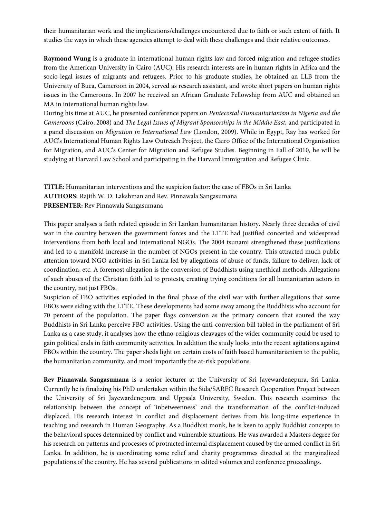their humanitarian work and the implications/challenges encountered due to faith or such extent of faith. It studies the ways in which these agencies attempt to deal with these challenges and their relative outcomes.

**Raymond Wung** is a graduate in international human rights law and forced migration and refugee studies from the American University in Cairo (AUC). His research interests are in human rights in Africa and the socio-legal issues of migrants and refugees. Prior to his graduate studies, he obtained an LLB from the University of Buea, Cameroon in 2004, served as research assistant, and wrote short papers on human rights issues in the Cameroons. In 2007 he received an African Graduate Fellowship from AUC and obtained an MA in international human rights law.

During his time at AUC, he presented conference papers on *Pentecostal Humanitarianism in Nigeria and the Cameroons* (Cairo, 2008) and *The Legal Issues of Migrant Sponsorships in the Middle East,* and participated in a panel discussion on *Migration in International Law* (London, 2009). While in Egypt, Ray has worked for AUC's International Human Rights Law Outreach Project, the Cairo Office of the International Organisation for Migration, and AUC's Center for Migration and Refugee Studies. Beginning in Fall of 2010, he will be studying at Harvard Law School and participating in the Harvard Immigration and Refugee Clinic.

**TITLE:** Humanitarian interventions and the suspicion factor: the case of FBOs in Sri Lanka **AUTHORS:** Rajith W. D. Lakshman and Rev. Pinnawala Sangasumana **PRESENTER:** Rev Pinnawala Sangasumana

This paper analyses a faith related episode in Sri Lankan humanitarian history. Nearly three decades of civil war in the country between the government forces and the LTTE had justified concerted and widespread interventions from both local and international NGOs. The 2004 tsunami strengthened these justifications and led to a manifold increase in the number of NGOs present in the country. This attracted much public attention toward NGO activities in Sri Lanka led by allegations of abuse of funds, failure to deliver, lack of coordination, etc. A foremost allegation is the conversion of Buddhists using unethical methods. Allegations of such abuses of the Christian faith led to protests, creating trying conditions for all humanitarian actors in the country, not just FBOs.

Suspicion of FBO activities exploded in the final phase of the civil war with further allegations that some FBOs were siding with the LTTE. These developments had some sway among the Buddhists who account for 70 percent of the population. The paper flags conversion as the primary concern that soured the way Buddhists in Sri Lanka perceive FBO activities. Using the anti-conversion bill tabled in the parliament of Sri Lanka as a case study, it analyses how the ethno-religious cleavages of the wider community could be used to gain political ends in faith community activities. In addition the study looks into the recent agitations against FBOs within the country. The paper sheds light on certain costs of faith based humanitarianism to the public, the humanitarian community, and most importantly the at-risk populations.

**Rev Pinnawala Sangasumana** is a senior lecturer at the University of Sri Jayewardenepura, Sri Lanka. Currently he is finalizing his PhD undertaken within the Sida/SAREC Research Cooperation Project between the University of Sri Jayewardenepura and Uppsala University, Sweden. This research examines the relationship between the concept of 'inbetweenness' and the transformation of the conflict-induced displaced. His research interest in conflict and displacement derives from his long-time experience in teaching and research in Human Geography. As a Buddhist monk, he is keen to apply Buddhist concepts to the behavioral spaces determined by conflict and vulnerable situations. He was awarded a Masters degree for his research on patterns and processes of protracted internal displacement caused by the armed conflict in Sri Lanka. In addition, he is coordinating some relief and charity programmes directed at the marginalized populations of the country. He has several publications in edited volumes and conference proceedings.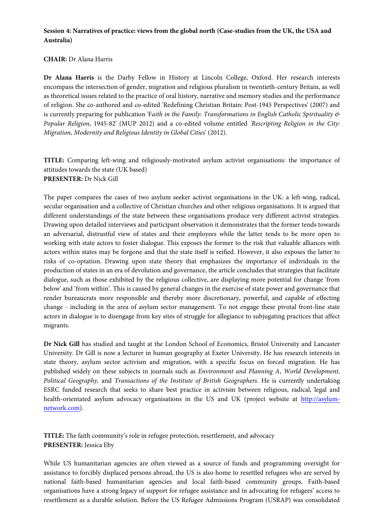### **Session 4: Narratives of practice: views from the global north (Case-studies from the UK, the USA and Australia)**

### **CHAIR:** Dr Alana Harris

**Dr Alana Harris** is the Darby Fellow in History at Lincoln College, Oxford. Her research interests encompass the intersection of gender, migration and religious pluralism in twentieth-century Britain, as well as theoretical issues related to the practice of oral history, narrative and memory studies and the performance of religion. She co-authored and co-edited 'Redefining Christian Britain: Post-1945 Perspectives' (2007) and is currently preparing for publication 'F*aith in the Family: Transformations in English Catholic Spirituality & Popular Religion*, 1945-82' (MUP 2012) and a co-edited volume entitled *'Rescripting Religion in the City: Migration, Modernity and Religious Identity in Global Cities*' (2012).

**TITLE:** Comparing left-wing and religiously-motivated asylum activist organisations: the importance of attitudes towards the state (UK based) **PRESENTER:** Dr Nick Gill

The paper compares the cases of two asylum seeker activist organisations in the UK: a left-wing, radical, secular organisation and a collective of Christian churches and other religious organisations. It is argued that different understandings of the state between these organisations produce very different activist strategies. Drawing upon detailed interviews and participant observation it demonstrates that the former tends towards an adversarial, distrustful view of states and their employees while the latter tends to be more open to working with state actors to foster dialogue. This exposes the former to the risk that valuable alliances with actors within states may be forgone and that the state itself is reified. However, it also exposes the latter to risks of co-optation. Drawing upon state theory that emphasizes the importance of individuals in the production of states in an era of devolution and governance, the article concludes that strategies that facilitate dialogue, such as those exhibited by the religious collective, are displaying more potential for change 'from below' and 'from within'. This is caused by general changes in the exercise of state power and governance that render bureaucrats more responsible and thereby more discretionary, powerful, and capable of effecting change - including in the area of asylum sector management. To not engage these pivotal front-line state actors in dialogue is to disengage from key sites of struggle for allegiance to subjugating practices that affect migrants.

**Dr Nick Gill** has studied and taught at the London School of Economics, Bristol University and Lancaster University. Dr Gill is now a lecturer in human geography at Exeter University. He has research interests in state theory, asylum sector activism and migration, with a specific focus on forced migration. He has published widely on these subjects in journals such as *Environment and Planning A*, *World Development, Political Geography,* and *Transactions of the Institute of British Geographers*. He is currently undertaking ESRC funded research that seeks to share best practice in activism between religious, radical, legal and health-orientated asylum advocacy organisations in the US and UK (project website at http://asylumnetwork.com).

**TITLE:** The faith community's role in refugee protection, resettlement, and advocacy **PRESENTER:** Jessica Eby

While US humanitarian agencies are often viewed as a source of funds and programming oversight for assistance to forcibly displaced persons abroad, the US is also home to resettled refugees who are served by national faith-based humanitarian agencies and local faith-based community groups. Faith-based organisations have a strong legacy of support for refugee assistance and in advocating for refugees' access to resettlement as a durable solution. Before the US Refugee Admissions Program (USRAP) was consolidated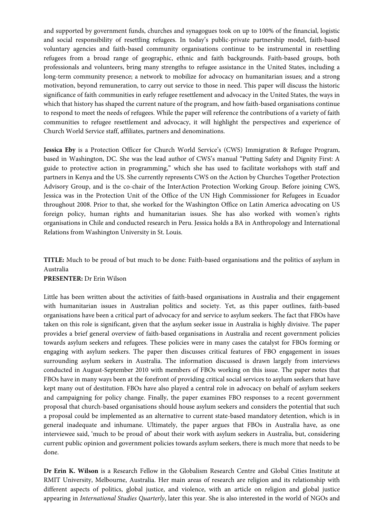and supported by government funds, churches and synagogues took on up to 100% of the financial, logistic and social responsibility of resettling refugees. In today's public-private partnership model, faith-based voluntary agencies and faith-based community organisations continue to be instrumental in resettling refugees from a broad range of geographic, ethnic and faith backgrounds. Faith-based groups, both professionals and volunteers, bring many strengths to refugee assistance in the United States, including a long-term community presence; a network to mobilize for advocacy on humanitarian issues; and a strong motivation, beyond remuneration, to carry out service to those in need. This paper will discuss the historic significance of faith communities in early refugee resettlement and advocacy in the United States, the ways in which that history has shaped the current nature of the program, and how faith-based organisations continue to respond to meet the needs of refugees. While the paper will reference the contributions of a variety of faith communities to refugee resettlement and advocacy, it will highlight the perspectives and experience of Church World Service staff, affiliates, partners and denominations.

**Jessica Eby** is a Protection Officer for Church World Service's (CWS) Immigration & Refugee Program, based in Washington, DC. She was the lead author of CWS's manual "Putting Safety and Dignity First: A guide to protective action in programming," which she has used to facilitate workshops with staff and partners in Kenya and the US. She currently represents CWS on the Action by Churches Together Protection Advisory Group, and is the co-chair of the InterAction Protection Working Group. Before joining CWS, Jessica was in the Protection Unit of the Office of the UN High Commissioner for Refugees in Ecuador throughout 2008. Prior to that, she worked for the Washington Office on Latin America advocating on US foreign policy, human rights and humanitarian issues. She has also worked with women's rights organisations in Chile and conducted research in Peru. Jessica holds a BA in Anthropology and International Relations from Washington University in St. Louis.

# **TITLE:** Much to be proud of but much to be done: Faith-based organisations and the politics of asylum in Australia

#### **PRESENTER:** Dr Erin Wilson

Little has been written about the activities of faith-based organisations in Australia and their engagement with humanitarian issues in Australian politics and society. Yet, as this paper outlines, faith-based organisations have been a critical part of advocacy for and service to asylum seekers. The fact that FBOs have taken on this role is significant, given that the asylum seeker issue in Australia is highly divisive. The paper provides a brief general overview of faith-based organisations in Australia and recent government policies towards asylum seekers and refugees. These policies were in many cases the catalyst for FBOs forming or engaging with asylum seekers. The paper then discusses critical features of FBO engagement in issues surrounding asylum seekers in Australia. The information discussed is drawn largely from interviews conducted in August-September 2010 with members of FBOs working on this issue. The paper notes that FBOs have in many ways been at the forefront of providing critical social services to asylum seekers that have kept many out of destitution. FBOs have also played a central role in advocacy on behalf of asylum seekers and campaigning for policy change. Finally, the paper examines FBO responses to a recent government proposal that church-based organisations should house asylum seekers and considers the potential that such a proposal could be implemented as an alternative to current state-based mandatory detention, which is in general inadequate and inhumane. Ultimately, the paper argues that FBOs in Australia have, as one interviewee said, 'much to be proud of' about their work with asylum seekers in Australia, but, considering current public opinion and government policies towards asylum seekers, there is much more that needs to be done.

**Dr Erin K. Wilson** is a Research Fellow in the Globalism Research Centre and Global Cities Institute at RMIT University, Melbourne, Australia. Her main areas of research are religion and its relationship with different aspects of politics, global justice, and violence, with an article on religion and global justice appearing in *International Studies Quarterly*, later this year. She is also interested in the world of NGOs and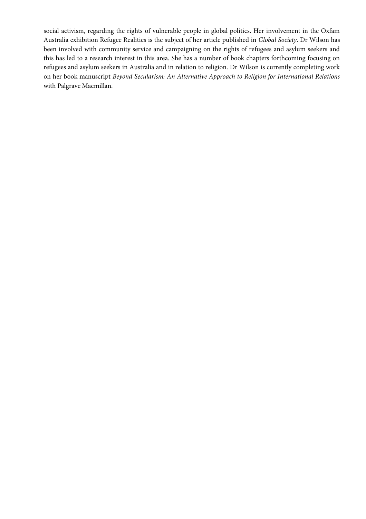social activism, regarding the rights of vulnerable people in global politics. Her involvement in the Oxfam Australia exhibition Refugee Realities is the subject of her article published in *Global Society*. Dr Wilson has been involved with community service and campaigning on the rights of refugees and asylum seekers and this has led to a research interest in this area. She has a number of book chapters forthcoming focusing on refugees and asylum seekers in Australia and in relation to religion. Dr Wilson is currently completing work on her book manuscript *Beyond Secularism: An Alternative Approach to Religion for International Relations* with Palgrave Macmillan.